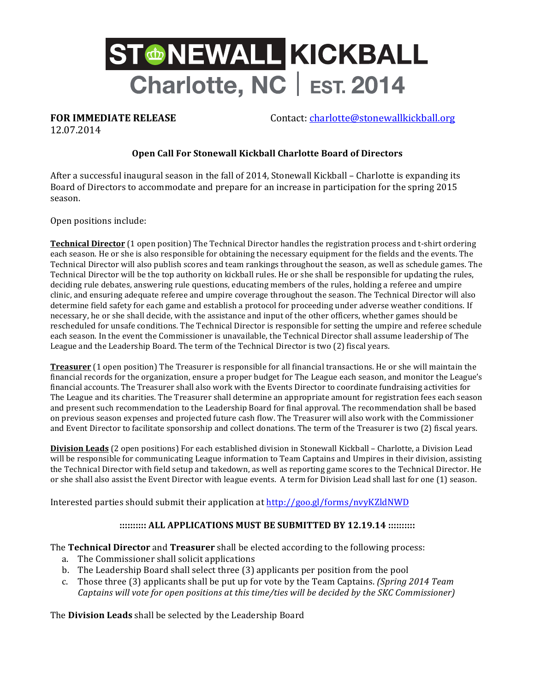

**FOR IMMEDIATE RELEASE** Contact: charlotte@stonewallkickball.org

12.07.2014

## **Open Call For Stonewall Kickball Charlotte Board of Directors**

After a successful inaugural season in the fall of 2014, Stonewall Kickball – Charlotte is expanding its Board of Directors to accommodate and prepare for an increase in participation for the spring 2015 season.

Open positions include:

**Technical Director** (1 open position) The Technical Director handles the registration process and t-shirt ordering each season. He or she is also responsible for obtaining the necessary equipment for the fields and the events. The Technical Director will also publish scores and team rankings throughout the season, as well as schedule games. The Technical Director will be the top authority on kickball rules. He or she shall be responsible for updating the rules, deciding rule debates, answering rule questions, educating members of the rules, holding a referee and umpire clinic, and ensuring adequate referee and umpire coverage throughout the season. The Technical Director will also determine field safety for each game and establish a protocol for proceeding under adverse weather conditions. If necessary, he or she shall decide, with the assistance and input of the other officers, whether games should be rescheduled for unsafe conditions. The Technical Director is responsible for setting the umpire and referee schedule each season. In the event the Commissioner is unavailable, the Technical Director shall assume leadership of The League and the Leadership Board. The term of the Technical Director is two (2) fiscal years.

**Treasurer** (1 open position) The Treasurer is responsible for all financial transactions. He or she will maintain the financial records for the organization, ensure a proper budget for The League each season, and monitor the League's financial accounts. The Treasurer shall also work with the Events Director to coordinate fundraising activities for The League and its charities. The Treasurer shall determine an appropriate amount for registration fees each season and present such recommendation to the Leadership Board for final approval. The recommendation shall be based on previous season expenses and projected future cash flow. The Treasurer will also work with the Commissioner and Event Director to facilitate sponsorship and collect donations. The term of the Treasurer is two (2) fiscal years.

**Division Leads** (2 open positions) For each established division in Stonewall Kickball – Charlotte, a Division Lead will be responsible for communicating League information to Team Captains and Umpires in their division, assisting the Technical Director with field setup and takedown, as well as reporting game scores to the Technical Director. He or she shall also assist the Event Director with league events. A term for Division Lead shall last for one (1) season.

Interested parties should submit their application at  $http://goo.gl/forms/nyyKZldNWD$ 

## **:::::::::: ALL APPLICATIONS MUST BE SUBMITTED BY 12.19.14 ::::::::::**

The **Technical Director** and **Treasurer** shall be elected according to the following process:

- a. The Commissioner shall solicit applications
- b. The Leadership Board shall select three (3) applicants per position from the pool
- c. Those three (3) applicants shall be put up for vote by the Team Captains. *(Spring 2014 Team*) *Captains will vote for open positions at this time/ties will be decided by the SKC Commissioner)*

The **Division Leads** shall be selected by the Leadership Board